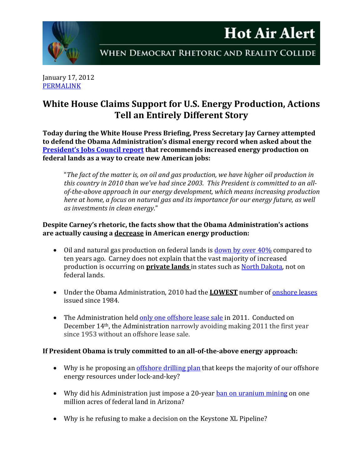

January 17, 2012 [PERMALINK](http://naturalresources.house.gov/News/DocumentSingle.aspx?DocumentID=275080)

## **White House Claims Support for U.S. Energy Production, Actions Tell an Entirely Different Story**

**Today during the White House Press Briefing, Press Secretary Jay Carney attempted to defend the Obama Administration's dismal energy record when asked about the [President's Jobs Council report](http://naturalresources.house.gov/News/DocumentSingle.aspx?DocumentID=275000) that recommends increased energy production on federal lands as a way to create new American jobs:**

"*The fact of the matter is, on oil and gas production, we have higher oil production in this country in 2010 than we've had since 2003. This President is committed to an allof-the-above approach in our energy development, which means increasing production here at home, a focus on natural gas and its importance for our energy future, as well as investments in clean energy*."

## **Despite Carney's rhetoric, the facts show that the Obama Administration's actions are actually causing a decrease in American energy production:**

- Oil and natural gas production on federal lands is [down by over 40%](http://www.eia.gov/totalenergy/data/annual/pdf/sec1_30.pdf) compared to ten years ago. Carney does not explain that the vast majority of increased production is occurring on **private lands** in states such as [North Dakota,](https://www.dmr.nd.gov/oilgas/stats/stateoilchart.pdf) not on federal lands.
- Under the Obama Administration, 2010 had the **LOWEST** number of **onshore leases** issued since 1984.
- The Administration held [only one offshore lease sale](http://naturalresources.house.gov/News/DocumentSingle.aspx?DocumentID=272562) in 2011. Conducted on December 14th, the Administration narrowly avoiding making 2011 the first year since 1953 without an offshore lease sale.

## **If President Obama is truly committed to an all-of-the-above energy approach:**

- Why is he proposing an *offshore drilling plan* that keeps the majority of our offshore energy resources under lock-and-key?
- Why did his Administration just impose a 20-year **ban on uranium mining on one** million acres of federal land in Arizona?
- Why is he refusing to make a decision on the Keystone XL Pipeline?